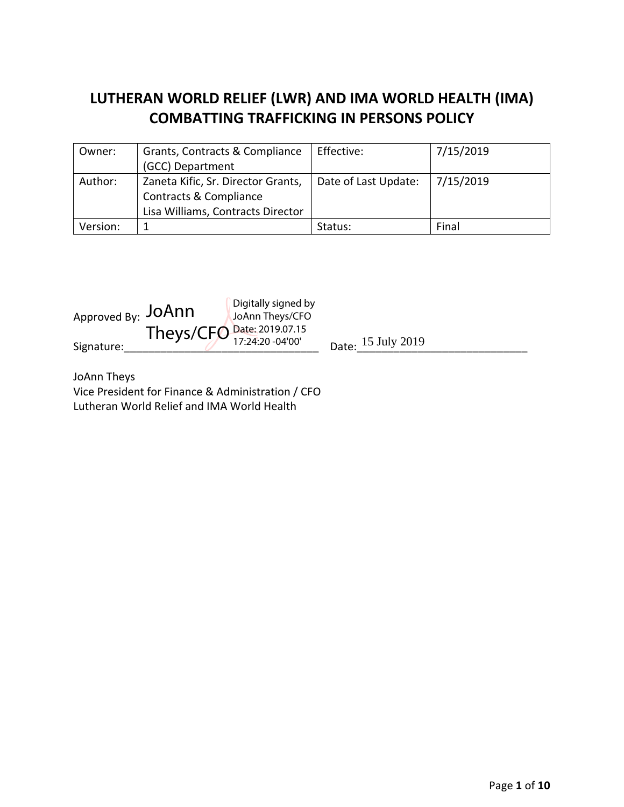# **LUTHERAN WORLD RELIEF (LWR) AND IMA WORLD HEALTH (IMA) COMBATTING TRAFFICKING IN PERSONS POLICY**

| Owner:   | Grants, Contracts & Compliance     | Effective:           | 7/15/2019 |
|----------|------------------------------------|----------------------|-----------|
|          | (GCC) Department                   |                      |           |
| Author:  | Zaneta Kific, Sr. Director Grants, | Date of Last Update: | 7/15/2019 |
|          | Contracts & Compliance             |                      |           |
|          | Lisa Williams, Contracts Director  |                      |           |
| Version: |                                    | Status:              | Final     |



JoAnn Theys

Vice President for Finance & Administration / CFO Lutheran World Relief and IMA World Health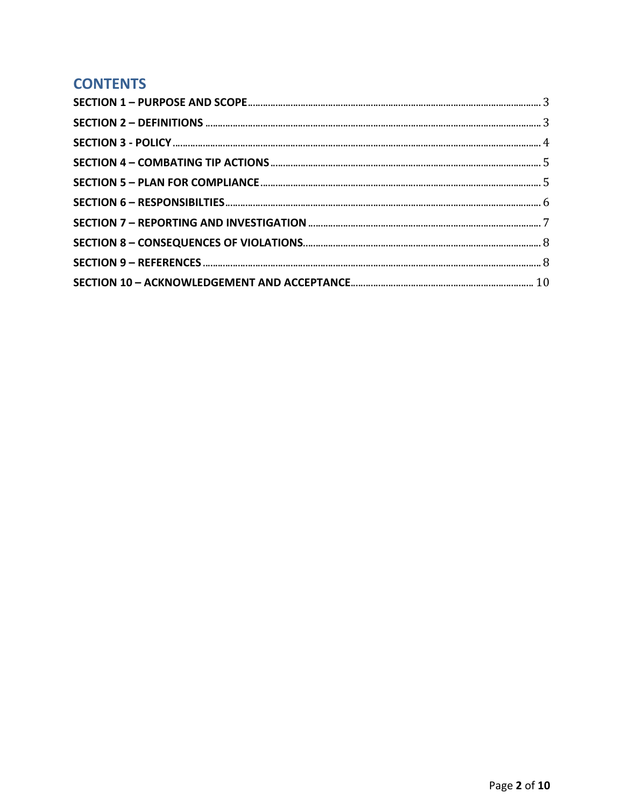# **CONTENTS**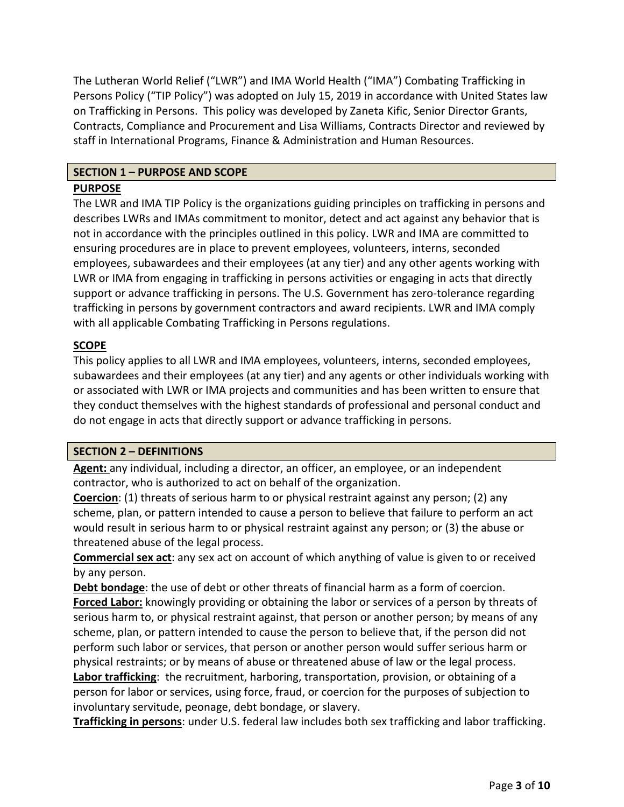The Lutheran World Relief ("LWR") and IMA World Health ("IMA") Combating Trafficking in Persons Policy ("TIP Policy") was adopted on July 15, 2019 in accordance with United States law on Trafficking in Persons. This policy was developed by Zaneta Kific, Senior Director Grants, Contracts, Compliance and Procurement and Lisa Williams, Contracts Director and reviewed by staff in International Programs, Finance & Administration and Human Resources.

# **SECTION 1 – PURPOSE AND SCOPE**

#### **PURPOSE**

The LWR and IMA TIP Policy is the organizations guiding principles on trafficking in persons and describes LWRs and IMAs commitment to monitor, detect and act against any behavior that is not in accordance with the principles outlined in this policy. LWR and IMA are committed to ensuring procedures are in place to prevent employees, volunteers, interns, seconded employees, subawardees and their employees (at any tier) and any other agents working with LWR or IMA from engaging in trafficking in persons activities or engaging in acts that directly support or advance trafficking in persons. The U.S. Government has zero-tolerance regarding trafficking in persons by government contractors and award recipients. LWR and IMA comply with all applicable Combating Trafficking in Persons regulations.

#### **SCOPE**

This policy applies to all LWR and IMA employees, volunteers, interns, seconded employees, subawardees and their employees (at any tier) and any agents or other individuals working with or associated with LWR or IMA projects and communities and has been written to ensure that they conduct themselves with the highest standards of professional and personal conduct and do not engage in acts that directly support or advance trafficking in persons.

#### **SECTION 2 – DEFINITIONS**

**Agent:** any individual, including a director, an officer, an employee, or an independent contractor, who is authorized to act on behalf of the organization.

**Coercion**: (1) threats of serious harm to or physical restraint against any person; (2) any scheme, plan, or pattern intended to cause a person to believe that failure to perform an act would result in serious harm to or physical restraint against any person; or (3) the abuse or threatened abuse of the legal process.

**Commercial sex act**: any sex act on account of which anything of value is given to or received by any person.

**Debt bondage**: the use of debt or other threats of financial harm as a form of coercion. **Forced Labor:** knowingly providing or obtaining the labor or services of a person by threats of serious harm to, or physical restraint against, that person or another person; by means of any scheme, plan, or pattern intended to cause the person to believe that, if the person did not perform such labor or services, that person or another person would suffer serious harm or physical restraints; or by means of abuse or threatened abuse of law or the legal process.

**Labor trafficking**: the recruitment, harboring, transportation, provision, or obtaining of a person for labor or services, using force, fraud, or coercion for the purposes of subjection to involuntary servitude, peonage, debt bondage, or slavery.

**Trafficking in persons**: under U.S. federal law includes both sex trafficking and labor trafficking.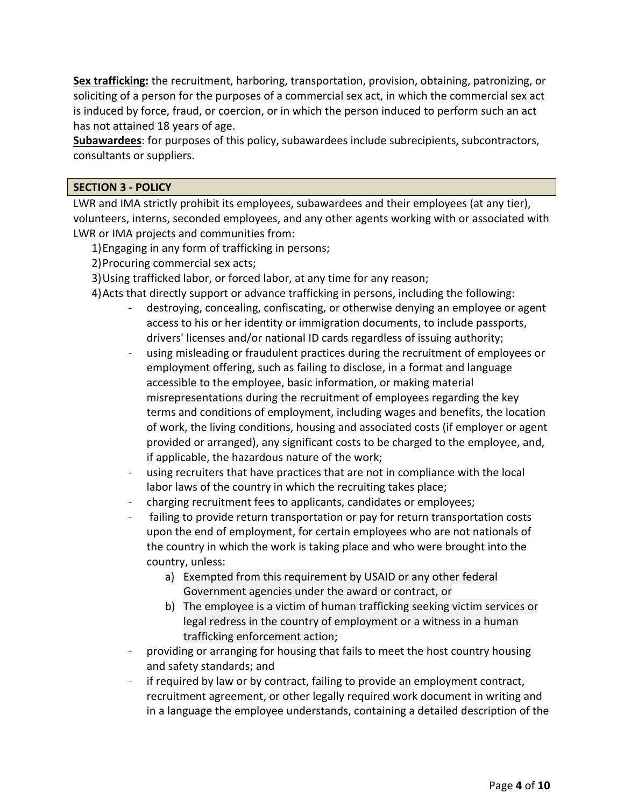**Sex trafficking:** the recruitment, harboring, transportation, provision, obtaining, patronizing, or soliciting of a person for the purposes of a commercial sex act, in which the commercial sex act is induced by force, fraud, or coercion, or in which the person induced to perform such an act has not attained 18 years of age.

**Subawardees**: for purposes of this policy, subawardees include subrecipients, subcontractors, consultants or suppliers.

#### **SECTION 3 ‐ POLICY**

LWR and IMA strictly prohibit its employees, subawardees and their employees (at any tier), volunteers, interns, seconded employees, and any other agents working with or associated with LWR or IMA projects and communities from:

- 1)Engaging in any form of trafficking in persons;
- 2)Procuring commercial sex acts;
- 3)Using trafficked labor, or forced labor, at any time for any reason;
- 4)Acts that directly support or advance trafficking in persons, including the following:
	- destroying, concealing, confiscating, or otherwise denying an employee or agent access to his or her identity or immigration documents, to include passports, drivers' licenses and/or national ID cards regardless of issuing authority;
	- using misleading or fraudulent practices during the recruitment of employees or employment offering, such as failing to disclose, in a format and language accessible to the employee, basic information, or making material misrepresentations during the recruitment of employees regarding the key terms and conditions of employment, including wages and benefits, the location of work, the living conditions, housing and associated costs (if employer or agent provided or arranged), any significant costs to be charged to the employee, and, if applicable, the hazardous nature of the work;
	- using recruiters that have practices that are not in compliance with the local labor laws of the country in which the recruiting takes place;
	- ‐ charging recruitment fees to applicants, candidates or employees;
	- failing to provide return transportation or pay for return transportation costs upon the end of employment, for certain employees who are not nationals of the country in which the work is taking place and who were brought into the country, unless:
		- a) Exempted from this requirement by USAID or any other federal Government agencies under the award or contract, or
		- b) The employee is a victim of human trafficking seeking victim services or legal redress in the country of employment or a witness in a human trafficking enforcement action;
	- ‐ providing or arranging for housing that fails to meet the host country housing and safety standards; and
	- ‐ if required by law or by contract, failing to provide an employment contract, recruitment agreement, or other legally required work document in writing and in a language the employee understands, containing a detailed description of the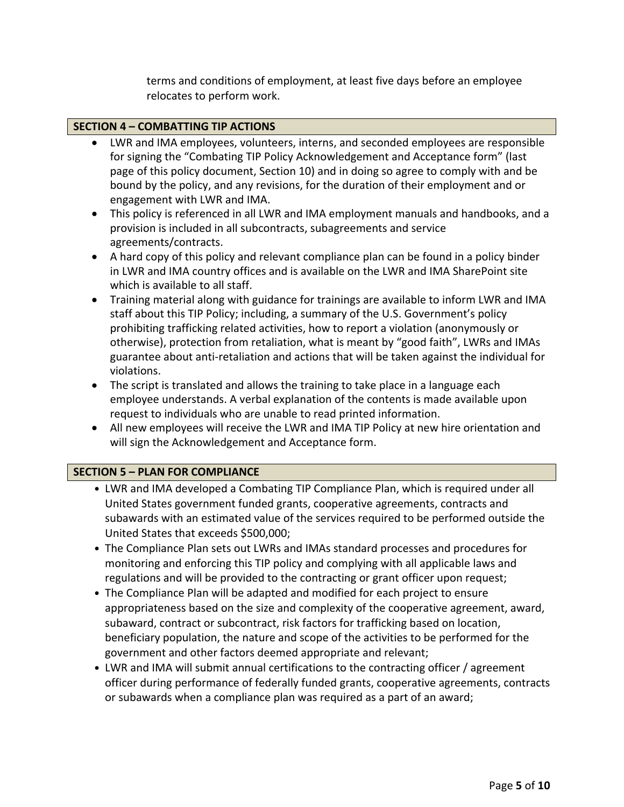terms and conditions of employment, at least five days before an employee relocates to perform work.

#### **SECTION 4 – COMBATTING TIP ACTIONS**

- LWR and IMA employees, volunteers, interns, and seconded employees are responsible for signing the "Combating TIP Policy Acknowledgement and Acceptance form" (last page of this policy document, Section 10) and in doing so agree to comply with and be bound by the policy, and any revisions, for the duration of their employment and or engagement with LWR and IMA.
- This policy is referenced in all LWR and IMA employment manuals and handbooks, and a provision is included in all subcontracts, subagreements and service agreements/contracts.
- A hard copy of this policy and relevant compliance plan can be found in a policy binder in LWR and IMA country offices and is available on the LWR and IMA SharePoint site which is available to all staff.
- Training material along with guidance for trainings are available to inform LWR and IMA staff about this TIP Policy; including, a summary of the U.S. Government's policy prohibiting trafficking related activities, how to report a violation (anonymously or otherwise), protection from retaliation, what is meant by "good faith", LWRs and IMAs guarantee about anti‐retaliation and actions that will be taken against the individual for violations.
- The script is translated and allows the training to take place in a language each employee understands. A verbal explanation of the contents is made available upon request to individuals who are unable to read printed information.
- All new employees will receive the LWR and IMA TIP Policy at new hire orientation and will sign the Acknowledgement and Acceptance form.

#### **SECTION 5 – PLAN FOR COMPLIANCE**

- LWR and IMA developed a Combating TIP Compliance Plan, which is required under all United States government funded grants, cooperative agreements, contracts and subawards with an estimated value of the services required to be performed outside the United States that exceeds \$500,000;
- The Compliance Plan sets out LWRs and IMAs standard processes and procedures for monitoring and enforcing this TIP policy and complying with all applicable laws and regulations and will be provided to the contracting or grant officer upon request;
- The Compliance Plan will be adapted and modified for each project to ensure appropriateness based on the size and complexity of the cooperative agreement, award, subaward, contract or subcontract, risk factors for trafficking based on location, beneficiary population, the nature and scope of the activities to be performed for the government and other factors deemed appropriate and relevant;
- LWR and IMA will submit annual certifications to the contracting officer / agreement officer during performance of federally funded grants, cooperative agreements, contracts or subawards when a compliance plan was required as a part of an award;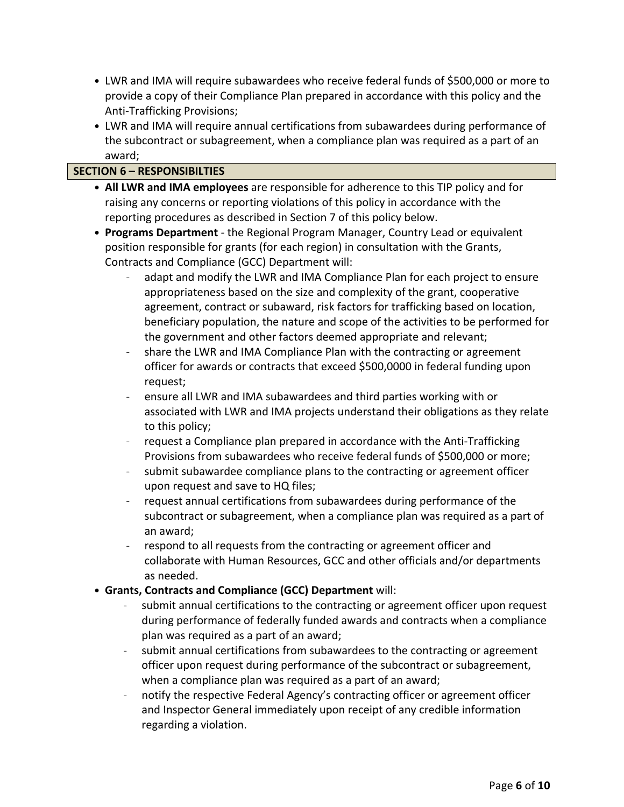- LWR and IMA will require subawardees who receive federal funds of \$500,000 or more to provide a copy of their Compliance Plan prepared in accordance with this policy and the Anti‐Trafficking Provisions;
- LWR and IMA will require annual certifications from subawardees during performance of the subcontract or subagreement, when a compliance plan was required as a part of an award;

# **SECTION 6 – RESPONSIBILTIES**

- **All LWR and IMA employees** are responsible for adherence to this TIP policy and for raising any concerns or reporting violations of this policy in accordance with the reporting procedures as described in Section 7 of this policy below.
- **Programs Department** ‐ the Regional Program Manager, Country Lead or equivalent position responsible for grants (for each region) in consultation with the Grants, Contracts and Compliance (GCC) Department will:
	- ‐ adapt and modify the LWR and IMA Compliance Plan for each project to ensure appropriateness based on the size and complexity of the grant, cooperative agreement, contract or subaward, risk factors for trafficking based on location, beneficiary population, the nature and scope of the activities to be performed for the government and other factors deemed appropriate and relevant;
	- ‐ share the LWR and IMA Compliance Plan with the contracting or agreement officer for awards or contracts that exceed \$500,0000 in federal funding upon request;
	- ‐ ensure all LWR and IMA subawardees and third parties working with or associated with LWR and IMA projects understand their obligations as they relate to this policy;
	- ‐ request a Compliance plan prepared in accordance with the Anti‐Trafficking Provisions from subawardees who receive federal funds of \$500,000 or more;
	- submit subawardee compliance plans to the contracting or agreement officer upon request and save to HQ files;
	- ‐ request annual certifications from subawardees during performance of the subcontract or subagreement, when a compliance plan was required as a part of an award;
	- respond to all requests from the contracting or agreement officer and collaborate with Human Resources, GCC and other officials and/or departments as needed.
- **Grants, Contracts and Compliance (GCC) Department** will:
	- submit annual certifications to the contracting or agreement officer upon request during performance of federally funded awards and contracts when a compliance plan was required as a part of an award;
	- submit annual certifications from subawardees to the contracting or agreement officer upon request during performance of the subcontract or subagreement, when a compliance plan was required as a part of an award;
	- ‐ notify the respective Federal Agency's contracting officer or agreement officer and Inspector General immediately upon receipt of any credible information regarding a violation.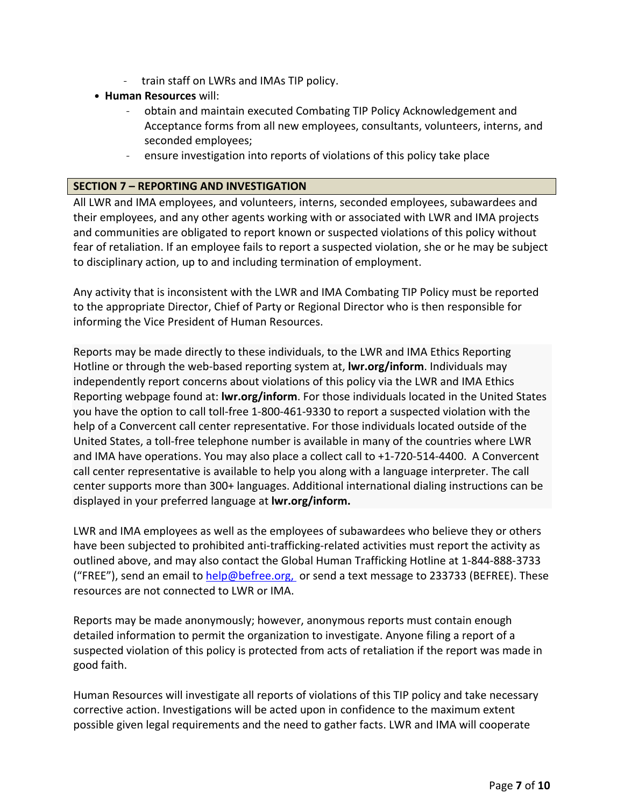- ‐ train staff on LWRs and IMAs TIP policy.
- **Human Resources** will:
	- ‐ obtain and maintain executed Combating TIP Policy Acknowledgement and Acceptance forms from all new employees, consultants, volunteers, interns, and seconded employees;
	- ‐ ensure investigation into reports of violations of this policy take place

#### **SECTION 7 – REPORTING AND INVESTIGATION**

All LWR and IMA employees, and volunteers, interns, seconded employees, subawardees and their employees, and any other agents working with or associated with LWR and IMA projects and communities are obligated to report known or suspected violations of this policy without fear of retaliation. If an employee fails to report a suspected violation, she or he may be subject to disciplinary action, up to and including termination of employment.

Any activity that is inconsistent with the LWR and IMA Combating TIP Policy must be reported to the appropriate Director, Chief of Party or Regional Director who is then responsible for informing the Vice President of Human Resources.

Reports may be made directly to these individuals, to the LWR and IMA Ethics Reporting Hotline or through the web‐based reporting system at, **lwr.org/inform**. Individuals may independently report concerns about violations of this policy via the LWR and IMA Ethics Reporting webpage found at: **lwr.org/inform**. For those individuals located in the United States you have the option to call toll‐free 1‐800‐461‐9330 to report a suspected violation with the help of a Convercent call center representative. For those individuals located outside of the United States, a toll‐free telephone number is available in many of the countries where LWR and IMA have operations. You may also place a collect call to +1‐720‐514‐4400. A Convercent call center representative is available to help you along with a language interpreter. The call center supports more than 300+ languages. Additional international dialing instructions can be displayed in your preferred language at **lwr.org/inform.**

LWR and IMA employees as well as the employees of subawardees who believe they or others have been subjected to prohibited anti-trafficking-related activities must report the activity as outlined above, and may also contact the Global Human Trafficking Hotline at 1‐844‐888‐3733 ("FREE"), send an email to help@befree.org, or send a text message to 233733 (BEFREE). These resources are not connected to LWR or IMA.

Reports may be made anonymously; however, anonymous reports must contain enough detailed information to permit the organization to investigate. Anyone filing a report of a suspected violation of this policy is protected from acts of retaliation if the report was made in good faith.

Human Resources will investigate all reports of violations of this TIP policy and take necessary corrective action. Investigations will be acted upon in confidence to the maximum extent possible given legal requirements and the need to gather facts. LWR and IMA will cooperate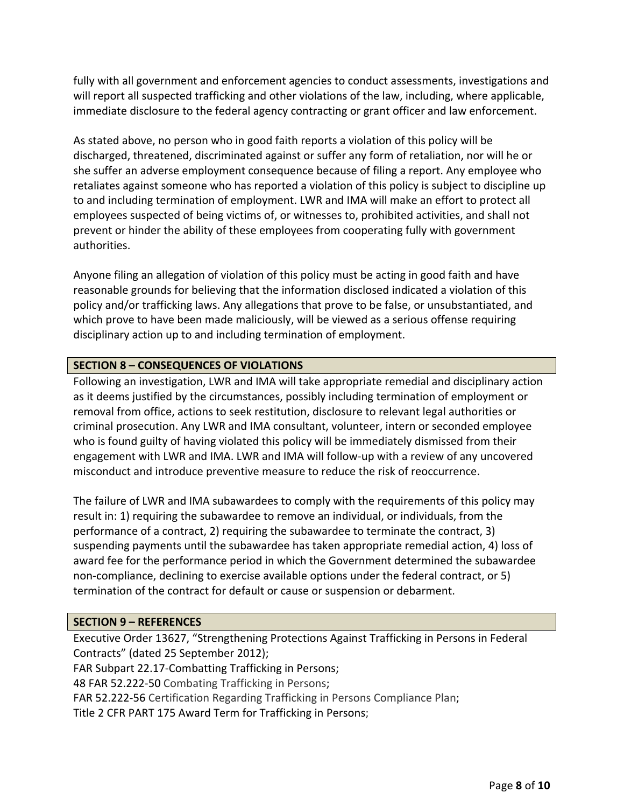fully with all government and enforcement agencies to conduct assessments, investigations and will report all suspected trafficking and other violations of the law, including, where applicable, immediate disclosure to the federal agency contracting or grant officer and law enforcement.

As stated above, no person who in good faith reports a violation of this policy will be discharged, threatened, discriminated against or suffer any form of retaliation, nor will he or she suffer an adverse employment consequence because of filing a report. Any employee who retaliates against someone who has reported a violation of this policy is subject to discipline up to and including termination of employment. LWR and IMA will make an effort to protect all employees suspected of being victims of, or witnesses to, prohibited activities, and shall not prevent or hinder the ability of these employees from cooperating fully with government authorities.

Anyone filing an allegation of violation of this policy must be acting in good faith and have reasonable grounds for believing that the information disclosed indicated a violation of this policy and/or trafficking laws. Any allegations that prove to be false, or unsubstantiated, and which prove to have been made maliciously, will be viewed as a serious offense requiring disciplinary action up to and including termination of employment.

# **SECTION 8 – CONSEQUENCES OF VIOLATIONS**

Following an investigation, LWR and IMA will take appropriate remedial and disciplinary action as it deems justified by the circumstances, possibly including termination of employment or removal from office, actions to seek restitution, disclosure to relevant legal authorities or criminal prosecution. Any LWR and IMA consultant, volunteer, intern or seconded employee who is found guilty of having violated this policy will be immediately dismissed from their engagement with LWR and IMA. LWR and IMA will follow-up with a review of any uncovered misconduct and introduce preventive measure to reduce the risk of reoccurrence.

The failure of LWR and IMA subawardees to comply with the requirements of this policy may result in: 1) requiring the subawardee to remove an individual, or individuals, from the performance of a contract, 2) requiring the subawardee to terminate the contract, 3) suspending payments until the subawardee has taken appropriate remedial action, 4) loss of award fee for the performance period in which the Government determined the subawardee non‐compliance, declining to exercise available options under the federal contract, or 5) termination of the contract for default or cause or suspension or debarment.

#### **SECTION 9 – REFERENCES**

Executive Order 13627, "Strengthening Protections Against Trafficking in Persons in Federal Contracts" (dated 25 September 2012);

FAR Subpart 22.17‐Combatting Trafficking in Persons;

48 FAR 52.222‐50 Combating Trafficking in Persons;

FAR 52.222‐56 Certification Regarding Trafficking in Persons Compliance Plan;

Title 2 CFR PART 175 Award Term for Trafficking in Persons;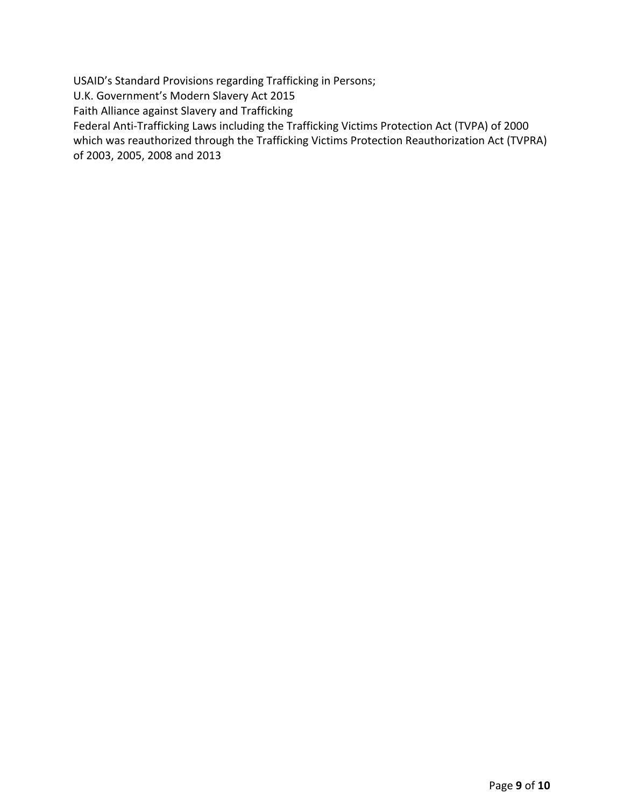USAID's Standard Provisions regarding Trafficking in Persons;

U.K. Government's Modern Slavery Act 2015

Faith Alliance against Slavery and Trafficking

Federal Anti‐Trafficking Laws including the Trafficking Victims Protection Act (TVPA) of 2000

which was reauthorized through the Trafficking Victims Protection Reauthorization Act (TVPRA) of 2003, 2005, 2008 and 2013